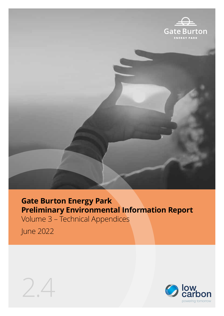

## **Gate Burton Energy Park Preliminary Environmental Information Report**

Volume 3 – Technical Appendices

June 2022



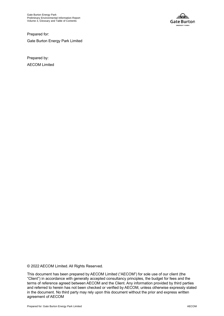

Prepared for: Gate Burton Energy Park Limited

Prepared by: AECOM Limited

© 2022 AECOM Limited. All Rights Reserved.

This document has been prepared by AECOM Limited ("AECOM") for sole use of our client (the "Client") in accordance with generally accepted consultancy principles, the budget for fees and the terms of reference agreed between AECOM and the Client. Any information provided by third parties and referred to herein has not been checked or verified by AECOM, unless otherwise expressly stated in the document. No third party may rely upon this document without the prior and express written agreement of AECOM